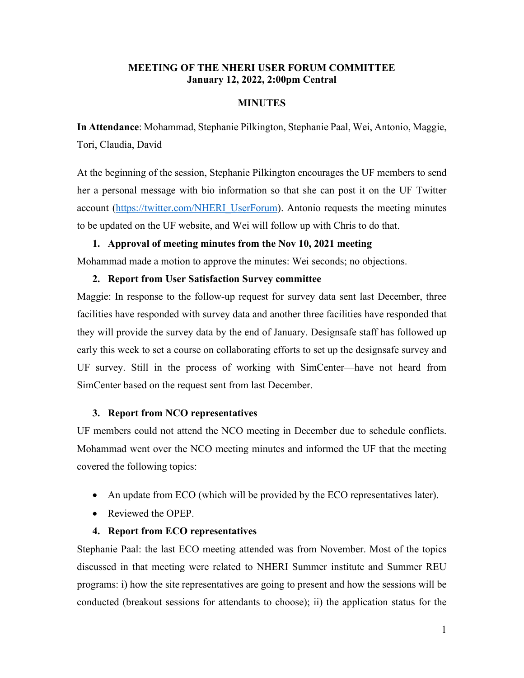# **MEETING OF THE NHERI USER FORUM COMMITTEE January 12, 2022, 2:00pm Central**

# **MINUTES**

**In Attendance**: Mohammad, Stephanie Pilkington, Stephanie Paal, Wei, Antonio, Maggie, Tori, Claudia, David

At the beginning of the session, Stephanie Pilkington encourages the UF members to send her a personal message with bio information so that she can post it on the UF Twitter account [\(https://twitter.com/NHERI\\_UserForum\)](https://twitter.com/NHERI_UserForum). Antonio requests the meeting minutes to be updated on the UF website, and Wei will follow up with Chris to do that.

# **1. Approval of meeting minutes from the Nov 10, 2021 meeting**

Mohammad made a motion to approve the minutes: Wei seconds; no objections.

## **2. Report from User Satisfaction Survey committee**

Maggie: In response to the follow-up request for survey data sent last December, three facilities have responded with survey data and another three facilities have responded that they will provide the survey data by the end of January. Designsafe staff has followed up early this week to set a course on collaborating efforts to set up the designsafe survey and UF survey. Still in the process of working with SimCenter—have not heard from SimCenter based on the request sent from last December.

## **3. Report from NCO representatives**

UF members could not attend the NCO meeting in December due to schedule conflicts. Mohammad went over the NCO meeting minutes and informed the UF that the meeting covered the following topics:

- An update from ECO (which will be provided by the ECO representatives later).
- Reviewed the OPEP.

# **4. Report from ECO representatives**

Stephanie Paal: the last ECO meeting attended was from November. Most of the topics discussed in that meeting were related to NHERI Summer institute and Summer REU programs: i) how the site representatives are going to present and how the sessions will be conducted (breakout sessions for attendants to choose); ii) the application status for the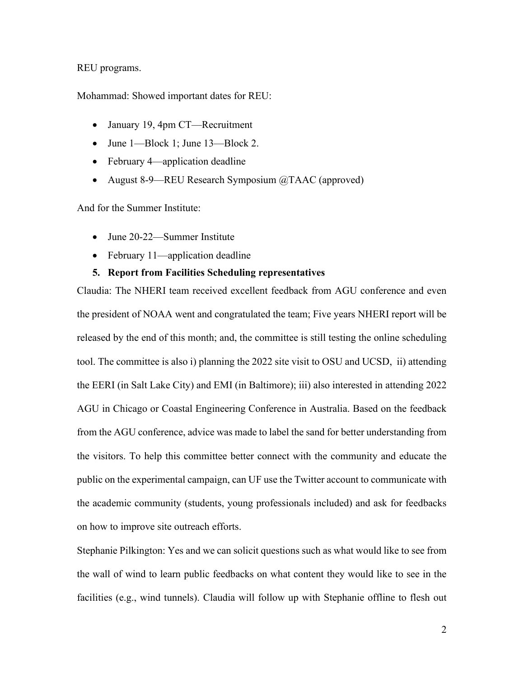#### REU programs.

Mohammad: Showed important dates for REU:

- January 19, 4pm CT—Recruitment
- June 1—Block 1; June 13—Block 2.
- February 4—application deadline
- August 8-9—REU Research Symposium @TAAC (approved)

And for the Summer Institute:

- June 20-22—Summer Institute
- February 11—application deadline

# **5. Report from Facilities Scheduling representatives**

Claudia: The NHERI team received excellent feedback from AGU conference and even the president of NOAA went and congratulated the team; Five years NHERI report will be released by the end of this month; and, the committee is still testing the online scheduling tool. The committee is also i) planning the 2022 site visit to OSU and UCSD, ii) attending the EERI (in Salt Lake City) and EMI (in Baltimore); iii) also interested in attending 2022 AGU in Chicago or Coastal Engineering Conference in Australia. Based on the feedback from the AGU conference, advice was made to label the sand for better understanding from the visitors. To help this committee better connect with the community and educate the public on the experimental campaign, can UF use the Twitter account to communicate with the academic community (students, young professionals included) and ask for feedbacks on how to improve site outreach efforts.

Stephanie Pilkington: Yes and we can solicit questions such as what would like to see from the wall of wind to learn public feedbacks on what content they would like to see in the facilities (e.g., wind tunnels). Claudia will follow up with Stephanie offline to flesh out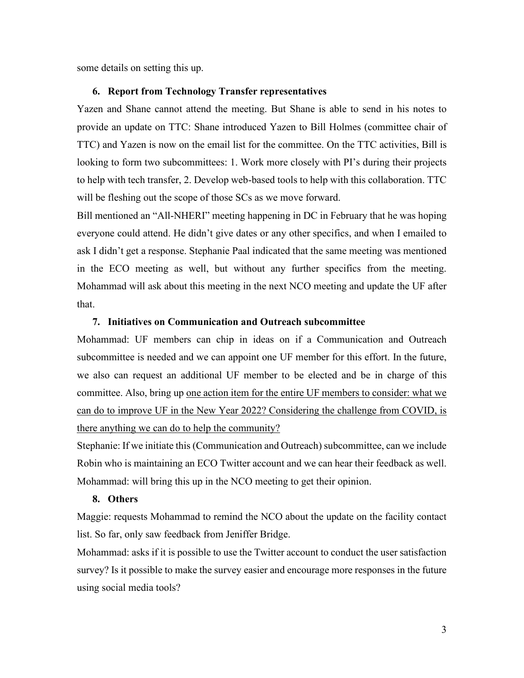some details on setting this up.

## **6. Report from Technology Transfer representatives**

Yazen and Shane cannot attend the meeting. But Shane is able to send in his notes to provide an update on TTC: Shane introduced Yazen to Bill Holmes (committee chair of TTC) and Yazen is now on the email list for the committee. On the TTC activities, Bill is looking to form two subcommittees: 1. Work more closely with PI's during their projects to help with tech transfer, 2. Develop web-based tools to help with this collaboration. TTC will be fleshing out the scope of those SCs as we move forward.

Bill mentioned an "All-NHERI" meeting happening in DC in February that he was hoping everyone could attend. He didn't give dates or any other specifics, and when I emailed to ask I didn't get a response. Stephanie Paal indicated that the same meeting was mentioned in the ECO meeting as well, but without any further specifics from the meeting. Mohammad will ask about this meeting in the next NCO meeting and update the UF after that.

## **7. Initiatives on Communication and Outreach subcommittee**

Mohammad: UF members can chip in ideas on if a Communication and Outreach subcommittee is needed and we can appoint one UF member for this effort. In the future, we also can request an additional UF member to be elected and be in charge of this committee. Also, bring up one action item for the entire UF members to consider: what we can do to improve UF in the New Year 2022? Considering the challenge from COVID, is there anything we can do to help the community?

Stephanie: If we initiate this (Communication and Outreach) subcommittee, can we include Robin who is maintaining an ECO Twitter account and we can hear their feedback as well. Mohammad: will bring this up in the NCO meeting to get their opinion.

### **8. Others**

Maggie: requests Mohammad to remind the NCO about the update on the facility contact list. So far, only saw feedback from Jeniffer Bridge.

Mohammad: asks if it is possible to use the Twitter account to conduct the user satisfaction survey? Is it possible to make the survey easier and encourage more responses in the future using social media tools?